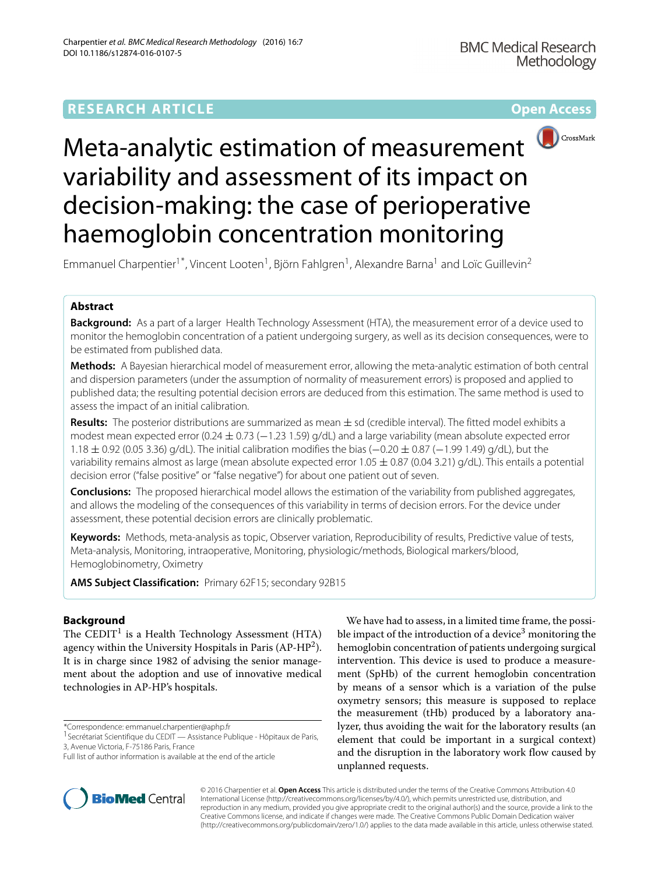# **RESEARCH ARTICLE Open Access**



# Meta-analytic estimation of measurement variability and assessment of its impact on decision-making: the case of perioperative haemoglobin concentration monitoring

Emmanuel Charpentier<sup>1\*</sup>, Vincent Looten<sup>1</sup>, Björn Fahlgren<sup>1</sup>, Alexandre Barna<sup>1</sup> and Loïc Guillevin<sup>2</sup>

# **Abstract**

**Background:** As a part of a larger Health Technology Assessment (HTA), the measurement error of a device used to monitor the hemoglobin concentration of a patient undergoing surgery, as well as its decision consequences, were to be estimated from published data.

**Methods:** A Bayesian hierarchical model of measurement error, allowing the meta-analytic estimation of both central and dispersion parameters (under the assumption of normality of measurement errors) is proposed and applied to published data; the resulting potential decision errors are deduced from this estimation. The same method is used to assess the impact of an initial calibration.

**Results:** The posterior distributions are summarized as mean ± sd (credible interval). The fitted model exhibits a modest mean expected error (0.24 ± 0.73 (−1.23 1.59) g/dL) and a large variability (mean absolute expected error 1.18 ± 0.92 (0.05 3.36) g/dL). The initial calibration modifies the bias (−0.20 ± 0.87 (−1.99 1.49) g/dL), but the variability remains almost as large (mean absolute expected error  $1.05 \pm 0.87$  (0.04 3.21) g/dL). This entails a potential decision error ("false positive" or "false negative") for about one patient out of seven.

**Conclusions:** The proposed hierarchical model allows the estimation of the variability from published aggregates, and allows the modeling of the consequences of this variability in terms of decision errors. For the device under assessment, these potential decision errors are clinically problematic.

**Keywords:** Methods, meta-analysis as topic, Observer variation, Reproducibility of results, Predictive value of tests, Meta-analysis, Monitoring, intraoperative, Monitoring, physiologic/methods, Biological markers/blood, Hemoglobinometry, Oximetry

**AMS Subject Classification:** Primary 62F15; secondary 92B15

# **Background**

The CEDIT<sup>1</sup> is a Health Technology Assessment (HTA) agency within the University Hospitals in Paris  $(AP-HP<sup>2</sup>)$ . It is in charge since 1982 of advising the senior management about the adoption and use of innovative medical technologies in AP-HP's hospitals.

\*Correspondence: [emmanuel.charpentier@aphp.fr](mailto: emmanuel.charpentier@aphp.fr)

We have had to assess, in a limited time frame, the possible impact of the introduction of a device<sup>3</sup> monitoring the hemoglobin concentration of patients undergoing surgical intervention. This device is used to produce a measurement (SpHb) of the current hemoglobin concentration by means of a sensor which is a variation of the pulse oxymetry sensors; this measure is supposed to replace the measurement (tHb) produced by a laboratory analyzer, thus avoiding the wait for the laboratory results (an element that could be important in a surgical context) and the disruption in the laboratory work flow caused by unplanned requests.



© 2016 Charpentier et al. **Open Access** This article is distributed under the terms of the Creative Commons Attribution 4.0 International License [\(http://creativecommons.org/licenses/by/4.0/\)](http://creativecommons.org/licenses/by/4.0/), which permits unrestricted use, distribution, and reproduction in any medium, provided you give appropriate credit to the original author(s) and the source, provide a link to the Creative Commons license, and indicate if changes were made. The Creative Commons Public Domain Dedication waiver [\(http://creativecommons.org/publicdomain/zero/1.0/\)](http://creativecommons.org/publicdomain/zero/1.0/) applies to the data made available in this article, unless otherwise stated.

<sup>&</sup>lt;sup>1</sup> Secrétariat Scientifique du CEDIT — Assistance Publique - Hôpitaux de Paris, 3, Avenue Victoria, F-75186 Paris, France

Full list of author information is available at the end of the article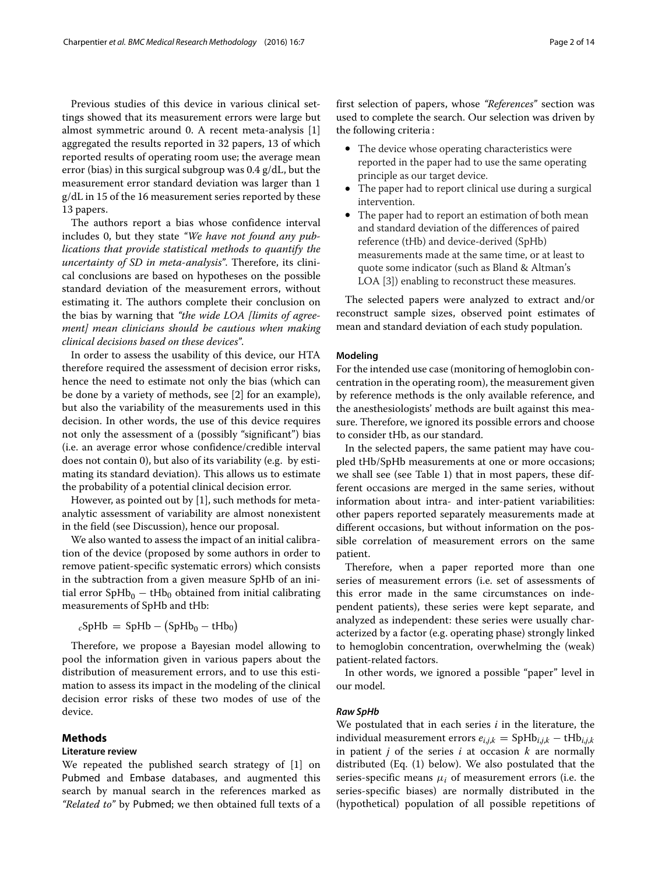Previous studies of this device in various clinical settings showed that its measurement errors were large but almost symmetric around 0. A recent meta-analysis [\[1\]](#page-12-0) aggregated the results reported in 32 papers, 13 of which reported results of operating room use; the average mean error (bias) in this surgical subgroup was 0.4 g/dL, but the measurement error standard deviation was larger than 1 g/dL in 15 of the 16 measurement series reported by these 13 papers.

The authors report a bias whose confidence interval includes 0, but they state *"We have not found any publications that provide statistical methods to quantify the uncertainty of SD in meta-analysis"*. Therefore, its clinical conclusions are based on hypotheses on the possible standard deviation of the measurement errors, without estimating it. The authors complete their conclusion on the bias by warning that *"the wide LOA [limits of agreement] mean clinicians should be cautious when making clinical decisions based on these devices"*.

In order to assess the usability of this device, our HTA therefore required the assessment of decision error risks, hence the need to estimate not only the bias (which can be done by a variety of methods, see [\[2\]](#page-12-1) for an example), but also the variability of the measurements used in this decision. In other words, the use of this device requires not only the assessment of a (possibly "significant") bias (i.e. an average error whose confidence/credible interval does not contain 0), but also of its variability (e.g. by estimating its standard deviation). This allows us to estimate the probability of a potential clinical decision error.

However, as pointed out by [\[1\]](#page-12-0), such methods for metaanalytic assessment of variability are almost nonexistent in the field (see [Discussion\)](#page-5-0), hence our proposal.

We also wanted to assess the impact of an initial calibration of the device (proposed by some authors in order to remove patient-specific systematic errors) which consists in the subtraction from a given measure SpHb of an initial error  $SpHb_0 - tHb_0$  obtained from initial calibrating measurements of SpHb and tHb:

 $cSpHb = SpHb - (SpHb<sub>0</sub> - tHb<sub>0</sub>)$ 

Therefore, we propose a Bayesian model allowing to pool the information given in various papers about the distribution of measurement errors, and to use this estimation to assess its impact in the modeling of the clinical decision error risks of these two modes of use of the device.

## **Methods**

#### **Literature review**

We repeated the published search strategy of [\[1\]](#page-12-0) on Pubmed and Embase databases, and augmented this search by manual search in the references marked as *"Related to"* by Pubmed; we then obtained full texts of a

- The device whose operating characteristics were reported in the paper had to use the same operating principle as our target device.
- The paper had to report clinical use during a surgical intervention.
- The paper had to report an estimation of both mean and standard deviation of the differences of paired reference (tHb) and device-derived (SpHb) measurements made at the same time, or at least to quote some indicator (such as Bland & Altman's LOA [\[3\]](#page-12-2)) enabling to reconstruct these measures.

The selected papers were analyzed to extract and/or reconstruct sample sizes, observed point estimates of mean and standard deviation of each study population.

#### **Modeling**

the following criteria :

For the intended use case (monitoring of hemoglobin concentration in the operating room), the measurement given by reference methods is the only available reference, and the anesthesiologists' methods are built against this measure. Therefore, we ignored its possible errors and choose to consider tHb, as our standard.

In the selected papers, the same patient may have coupled tHb/SpHb measurements at one or more occasions; we shall see (see Table [1\)](#page-2-0) that in most papers, these different occasions are merged in the same series, without information about intra- and inter-patient variabilities: other papers reported separately measurements made at different occasions, but without information on the possible correlation of measurement errors on the same patient.

Therefore, when a paper reported more than one series of measurement errors (i.e. set of assessments of this error made in the same circumstances on independent patients), these series were kept separate, and analyzed as independent: these series were usually characterized by a factor (e.g. operating phase) strongly linked to hemoglobin concentration, overwhelming the (weak) patient-related factors.

In other words, we ignored a possible "paper" level in our model.

## *Raw SpHb*

We postulated that in each series *i* in the literature, the individual measurement errors  $e_{i,j,k} = SpHb_{i,j,k} - tHb_{i,j,k}$ in patient *j* of the series *i* at occasion *k* are normally distributed (Eq. [\(1\)](#page-2-1) below). We also postulated that the series-specific means  $\mu_i$  of measurement errors (i.e. the series-specific biases) are normally distributed in the (hypothetical) population of all possible repetitions of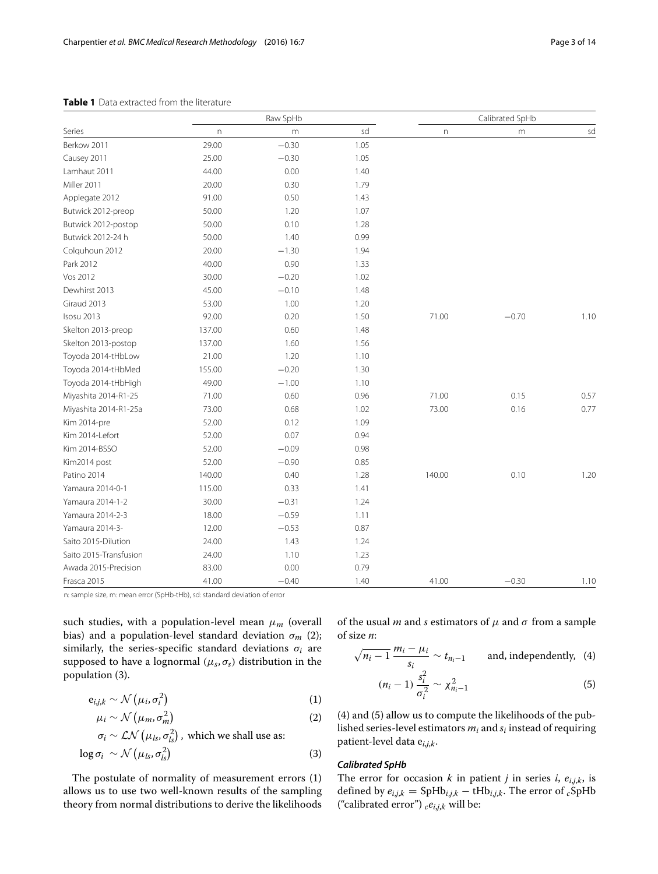# **Table 1** Data extracted from the literature

<span id="page-2-0"></span>

|                        |              | Raw SpHb  |      |        | Calibrated SpHb |      |  |
|------------------------|--------------|-----------|------|--------|-----------------|------|--|
| Series                 | $\mathsf{n}$ | ${\sf m}$ | sd   | n      | m               | sd   |  |
| Berkow 2011            | 29.00        | $-0.30$   | 1.05 |        |                 |      |  |
| Causey 2011            | 25.00        | $-0.30$   | 1.05 |        |                 |      |  |
| Lamhaut 2011           | 44.00        | 0.00      | 1.40 |        |                 |      |  |
| Miller 2011            | 20.00        | 0.30      | 1.79 |        |                 |      |  |
| Applegate 2012         | 91.00        | 0.50      | 1.43 |        |                 |      |  |
| Butwick 2012-preop     | 50.00        | 1.20      | 1.07 |        |                 |      |  |
| Butwick 2012-postop    | 50.00        | 0.10      | 1.28 |        |                 |      |  |
| Butwick 2012-24 h      | 50.00        | 1.40      | 0.99 |        |                 |      |  |
| Colquhoun 2012         | 20.00        | $-1.30$   | 1.94 |        |                 |      |  |
| Park 2012              | 40.00        | 0.90      | 1.33 |        |                 |      |  |
| Vos 2012               | 30.00        | $-0.20$   | 1.02 |        |                 |      |  |
| Dewhirst 2013          | 45.00        | $-0.10$   | 1.48 |        |                 |      |  |
| Giraud 2013            | 53.00        | 1.00      | 1.20 |        |                 |      |  |
| Isosu 2013             | 92.00        | 0.20      | 1.50 | 71.00  | $-0.70$         | 1.10 |  |
| Skelton 2013-preop     | 137.00       | 0.60      | 1.48 |        |                 |      |  |
| Skelton 2013-postop    | 137.00       | 1.60      | 1.56 |        |                 |      |  |
| Toyoda 2014-tHbLow     | 21.00        | 1.20      | 1.10 |        |                 |      |  |
| Toyoda 2014-tHbMed     | 155.00       | $-0.20$   | 1.30 |        |                 |      |  |
| Toyoda 2014-tHbHigh    | 49.00        | $-1.00$   | 1.10 |        |                 |      |  |
| Miyashita 2014-R1-25   | 71.00        | 0.60      | 0.96 | 71.00  | 0.15            | 0.57 |  |
| Miyashita 2014-R1-25a  | 73.00        | 0.68      | 1.02 | 73.00  | 0.16            | 0.77 |  |
| Kim 2014-pre           | 52.00        | 0.12      | 1.09 |        |                 |      |  |
| Kim 2014-Lefort        | 52.00        | 0.07      | 0.94 |        |                 |      |  |
| Kim 2014-BSSO          | 52.00        | $-0.09$   | 0.98 |        |                 |      |  |
| Kim2014 post           | 52.00        | $-0.90$   | 0.85 |        |                 |      |  |
| Patino 2014            | 140.00       | 0.40      | 1.28 | 140.00 | 0.10            | 1.20 |  |
| Yamaura 2014-0-1       | 115.00       | 0.33      | 1.41 |        |                 |      |  |
| Yamaura 2014-1-2       | 30.00        | $-0.31$   | 1.24 |        |                 |      |  |
| Yamaura 2014-2-3       | 18.00        | $-0.59$   | 1.11 |        |                 |      |  |
| Yamaura 2014-3-        | 12.00        | $-0.53$   | 0.87 |        |                 |      |  |
| Saito 2015-Dilution    | 24.00        | 1.43      | 1.24 |        |                 |      |  |
| Saito 2015-Transfusion | 24.00        | 1.10      | 1.23 |        |                 |      |  |
| Awada 2015-Precision   | 83.00        | 0.00      | 0.79 |        |                 |      |  |

Frasca 2015 41.00 −0.40 1.40 41.00 −0.30 1.10

n: sample size, m: mean error (SpHb-tHb), sd: standard deviation of error

such studies, with a population-level mean  $\mu_m$  (overall bias) and a population-level standard deviation  $\sigma_m$  [\(2\)](#page-2-2); similarly, the series-specific standard deviations  $\sigma_i$  are supposed to have a lognormal  $(\mu_s, \sigma_s)$  distribution in the population [\(3\)](#page-2-3).

$$
e_{i,j,k} \sim \mathcal{N}\left(\mu_i, \sigma_i^2\right) \tag{1}
$$

$$
\mu_i \sim \mathcal{N}\left(\mu_m, \sigma_m^2\right) \tag{2}
$$

$$
\sigma_i \sim \mathcal{LN}\left(\mu_{ls}, \sigma_{ls}^2\right), \text{ which we shall use as:}
$$
  

$$
\log \sigma_i \sim \mathcal{N}\left(\mu_{ls}, \sigma_{ls}^2\right)
$$
 (3)

The postulate of normality of measurement errors [\(1\)](#page-2-1) allows us to use two well-known results of the sampling theory from normal distributions to derive the likelihoods of the usual  $m$  and  $s$  estimators of  $\mu$  and  $\sigma$  from a sample of size *n*:

$$
\sqrt{n_i-1}\frac{m_i-\mu_i}{s_i} \sim t_{n_i-1}
$$
 and, independently, (4)

<span id="page-2-5"></span><span id="page-2-4"></span>
$$
(n_i - 1) \frac{s_i^2}{\sigma_i^2} \sim \chi_{n_i - 1}^2
$$
 (5)

<span id="page-2-2"></span><span id="page-2-1"></span>[\(4\)](#page-2-4) and [\(5\)](#page-2-5) allow us to compute the likelihoods of the published series-level estimators *mi* and *si* instead of requiring patient-level data e*i*,*j*,*k*.

# <span id="page-2-3"></span>*Calibrated SpHb*

The error for occasion *k* in patient *j* in series *i*,  $e_{i,j,k}$ , is defined by  $e_{i,j,k} = SpHb_{i,j,k} - tHb_{i,j,k}$ . The error of  $cSpHb$ ("calibrated error")  $_{c}e_{i,j,k}$  will be: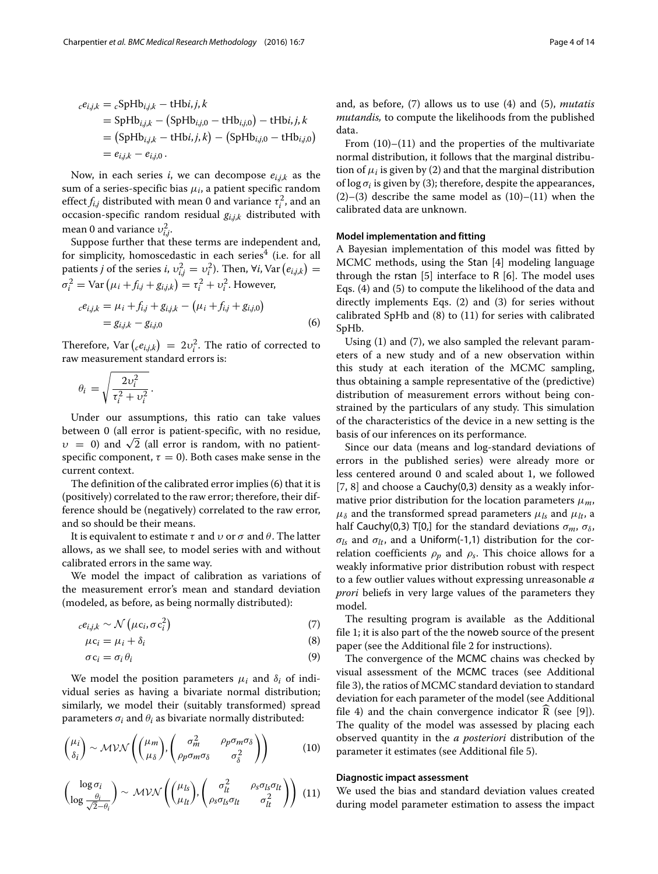$$
c e_{i,j,k} = c S p H b_{i,j,k} - t H b i, j, k
$$
  
= S p H b\_{i,j,k} - (S p H b\_{i,j,0} - t H b\_{i,j,0}) - t H b i, j, k  
= (S p H b\_{i,j,k} - t H b i, j, k) - (S p H b\_{i,j,0} - t H b\_{i,j,0})  
= e\_{i,j,k} - e\_{i,j,0}.

Now, in each series *i*, we can decompose  $e_{i,j,k}$  as the sum of a series-specific bias  $\mu_i$ , a patient specific random effect  $f_{i,j}$  distributed with mean 0 and variance  $\tau_i^2$ , and an occasion-specific random residual *gi*,*j*,*<sup>k</sup>* distributed with mean 0 and variance  $v_{i,j}^2$ .

Suppose further that these terms are independent and, for simplicity, homoscedastic in each series $4$  (i.e. for all patients *j* of the series *i*,  $v_{i,j}^2 = v_i^2$ ). Then,  $\forall i$ , Var  $(e_{i,j,k}) =$  $\sigma_i^2 = \text{Var} \left( \mu_i + f_{i,j} + g_{i,j,k} \right) = \tau_i^2 + \nu_i^2$ . However,

$$
c e_{i,j,k} = \mu_i + f_{i,j} + g_{i,j,k} - (\mu_i + f_{i,j} + g_{i,j,0})
$$
  
=  $g_{i,j,k} - g_{i,j,0}$  (6)

Therefore,  $Var(c_{i,j,k}) = 2v_i^2$ . The ratio of corrected to raw measurement standard errors is:

$$
\theta_i = \sqrt{\frac{2v_i^2}{\tau_i^2 + v_i^2}}.
$$

Under our assumptions, this ratio can take values between 0 (all error is patient-specific, with no residue,  $v = 0$ ) and  $\sqrt{2}$  (all error is random, with no patientspecific component,  $\tau = 0$ ). Both cases make sense in the current context.

The definition of the calibrated error implies [\(6\)](#page-3-0) that it is (positively) correlated to the raw error; therefore, their difference should be (negatively) correlated to the raw error, and so should be their means.

It is equivalent to estimate  $\tau$  and  $\upsilon$  or  $\sigma$  and  $\theta$ . The latter allows, as we shall see, to model series with and without calibrated errors in the same way.

We model the impact of calibration as variations of the measurement error's mean and standard deviation (modeled, as before, as being normally distributed):

$$
_{c}e_{i,j,k}\sim\mathcal{N}\left( \mu\mathbf{c}_{i},\sigma\mathbf{c}_{i}^{2}\right) \tag{7}
$$

$$
\mu c_i = \mu_i + \delta_i \tag{8}
$$

$$
\sigma c_i = \sigma_i \theta_i \tag{9}
$$

We model the position parameters  $\mu_i$  and  $\delta_i$  of individual series as having a bivariate normal distribution; similarly, we model their (suitably transformed) spread parameters  $\sigma_i$  and  $\theta_i$  as bivariate normally distributed:

$$
\begin{pmatrix} \mu_i \\ \delta_i \end{pmatrix} \sim \mathcal{M} \mathcal{V} \mathcal{N} \left( \begin{pmatrix} \mu_m \\ \mu_\delta \end{pmatrix}, \begin{pmatrix} \sigma_m^2 & \rho_p \sigma_m \sigma_\delta \\ \rho_p \sigma_m \sigma_\delta & \sigma_\delta^2 \end{pmatrix} \right) \tag{10}
$$

<span id="page-3-3"></span>
$$
\begin{pmatrix}\n\log \sigma_i \\
\log \frac{\theta_i}{\sqrt{2}-\theta_i}\n\end{pmatrix}\n\sim \mathcal{MVN}\left(\begin{pmatrix} \mu_{ls} \\
\mu_{lt}\n\end{pmatrix},\n\begin{pmatrix}\n\sigma_{lt}^2 & \rho_s \sigma_{ls} \sigma_{lt} \\
\rho_s \sigma_{ls} \sigma_{lt} & \sigma_{lt}^2 \\
\sigma_{lt}^2 & \sigma_{lt}^2\n\end{pmatrix}\right) (11)
$$

and, as before, [\(7\)](#page-3-1) allows us to use [\(4\)](#page-2-4) and [\(5\)](#page-2-5), *mutatis mutandis,* to compute the likelihoods from the published data.

From  $(10)$ – $(11)$  and the properties of the multivariate normal distribution, it follows that the marginal distribution of  $\mu_i$  is given by [\(2\)](#page-2-2) and that the marginal distribution of  $\log \sigma_i$  is given by [\(3\)](#page-2-3); therefore, despite the appearances,  $(2)$ – $(3)$  describe the same model as  $(10)$ – $(11)$  when the calibrated data are unknown.

## **Model implementation and fitting**

A Bayesian implementation of this model was fitted by MCMC methods, using the Stan [\[4\]](#page-12-3) modeling language through the rstan [\[5\]](#page-12-4) interface to R [\[6\]](#page-12-5). The model uses Eqs. [\(4\)](#page-2-4) and [\(5\)](#page-2-5) to compute the likelihood of the data and directly implements Eqs. [\(2\)](#page-2-2) and [\(3\)](#page-2-3) for series without calibrated SpHb and [\(8\)](#page-3-4) to [\(11\)](#page-3-3) for series with calibrated SpHb.

<span id="page-3-0"></span>Using [\(1\)](#page-2-1) and [\(7\)](#page-3-1), we also sampled the relevant parameters of a new study and of a new observation within this study at each iteration of the MCMC sampling, thus obtaining a sample representative of the (predictive) distribution of measurement errors without being constrained by the particulars of any study. This simulation of the characteristics of the device in a new setting is the basis of our inferences on its performance.

Since our data (means and log-standard deviations of errors in the published series) were already more or less centered around 0 and scaled about 1, we followed [\[7,](#page-12-6) [8\]](#page-12-7) and choose a Cauchy(0,3) density as a weakly informative prior distribution for the location parameters  $\mu_m$ ,  $\mu_{\delta}$  and the transformed spread parameters  $\mu_{ls}$  and  $\mu_{lt}$ , a half Cauchy(0,3) T[0,] for the standard deviations  $\sigma_m$ ,  $\sigma_\delta$ ,  $\sigma_{ls}$  and  $\sigma_{lt}$ , and a Uniform(-1,1) distribution for the correlation coefficients  $\rho_p$  and  $\rho_s$ . This choice allows for a weakly informative prior distribution robust with respect to a few outlier values without expressing unreasonable *a prori* beliefs in very large values of the parameters they model.

<span id="page-3-4"></span><span id="page-3-1"></span>The resulting program is available as the Additional file [1;](#page-11-0) it is also part of the the noweb source of the present paper (see the Additional file [2](#page-11-1) for instructions).

<span id="page-3-2"></span>The convergence of the MCMC chains was checked by visual assessment of the MCMC traces (see Additional file [3\)](#page-11-2), the ratios of MCMC standard deviation to standard deviation for each parameter of the model (see Additional file [4\)](#page-11-3) and the chain convergence indicator R (see [\[9\]](#page-12-8)). The quality of the model was assessed by placing each observed quantity in the *a posteriori* distribution of the parameter it estimates (see Additional file [5\)](#page-11-4).

## **Diagnostic impact assessment**

We used the bias and standard deviation values created during model parameter estimation to assess the impact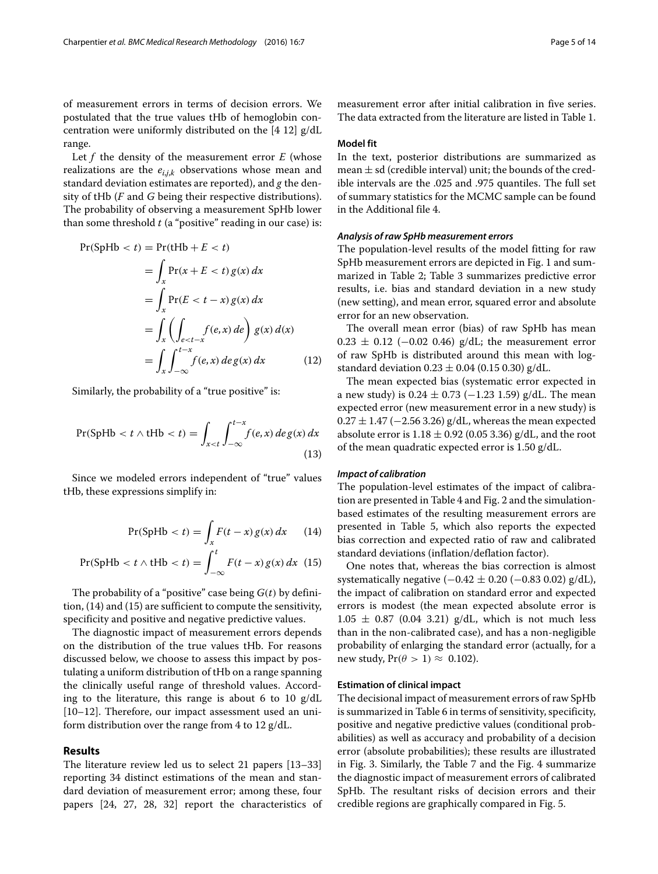of measurement errors in terms of decision errors. We postulated that the true values tHb of hemoglobin concentration were uniformly distributed on the [4 12] g/dL range.

Let *f* the density of the measurement error *E* (whose realizations are the  $e_{i,j,k}$  observations whose mean and standard deviation estimates are reported), and *g* the density of tHb (*F* and *G* being their respective distributions). The probability of observing a measurement SpHb lower than some threshold *t* (a "positive" reading in our case) is:

$$
\Pr(\text{SpHb} < t) = \Pr(\text{Hb} + E < t)
$$
\n
$$
= \int_{x} \Pr(x + E < t) g(x) \, dx
$$
\n
$$
= \int_{x} \Pr(E < t - x) g(x) \, dx
$$
\n
$$
= \int_{x} \left( \int_{e < t - x} f(e, x) \, de \right) g(x) \, d(x)
$$
\n
$$
= \int_{x} \int_{-\infty}^{t - x} f(e, x) \, de \, g(x) \, dx \tag{12}
$$

Similarly, the probability of a "true positive" is:

$$
\Pr(\text{SpHb} < t \land \text{tHb} < t) = \int_{x < t} \int_{-\infty}^{t-x} f(e, x) \, de \, g(x) \, dx \tag{13}
$$

Since we modeled errors independent of "true" values tHb, these expressions simplify in:

$$
Pr(SpHb < t) = \int_{x} F(t - x) g(x) dx \qquad (14)
$$

$$
Pr(SpHb < t \wedge tHb < t) = \int_{-\infty}^{t} F(t - x) g(x) dx
$$
 (15)

The probability of a "positive" case being *G*(*t*) by definition, [\(14\)](#page-4-0) and [\(15\)](#page-4-1) are sufficient to compute the sensitivity, specificity and positive and negative predictive values.

The diagnostic impact of measurement errors depends on the distribution of the true values tHb. For reasons discussed below, we choose to assess this impact by postulating a uniform distribution of tHb on a range spanning the clinically useful range of threshold values. According to the literature, this range is about 6 to 10 g/dL [\[10](#page-12-9)[–12\]](#page-12-10). Therefore, our impact assessment used an uniform distribution over the range from 4 to 12 g/dL.

#### **Results**

The literature review led us to select 21 papers [\[13](#page-12-11)[–33\]](#page-13-0) reporting 34 distinct estimations of the mean and standard deviation of measurement error; among these, four papers [\[24,](#page-12-12) [27,](#page-13-1) [28,](#page-13-2) [32\]](#page-13-3) report the characteristics of measurement error after initial calibration in five series. The data extracted from the literature are listed in Table [1.](#page-2-0)

# **Model fit**

In the text, posterior distributions are summarized as mean  $\pm$  sd (credible interval) unit; the bounds of the credible intervals are the .025 and .975 quantiles. The full set of summary statistics for the MCMC sample can be found in the Additional file [4.](#page-11-3)

#### *Analysis of raw SpHb measurement errors*

The population-level results of the model fitting for raw SpHb measurement errors are depicted in Fig. [1](#page-5-1) and summarized in Table [2;](#page-5-2) Table [3](#page-5-3) summarizes predictive error results, i.e. bias and standard deviation in a new study (new setting), and mean error, squared error and absolute error for an new observation.

<span id="page-4-2"></span>The overall mean error (bias) of raw SpHb has mean  $0.23 \pm 0.12$  (-0.02 0.46) g/dL; the measurement error of raw SpHb is distributed around this mean with logstandard deviation  $0.23 \pm 0.04$  (0.15 0.30) g/dL.

The mean expected bias (systematic error expected in a new study) is  $0.24 \pm 0.73$  (-1.23 1.59) g/dL. The mean expected error (new measurement error in a new study) is  $0.27 \pm 1.47$  (-2.56 3.26) g/dL, whereas the mean expected absolute error is  $1.18 \pm 0.92$  (0.05 3.36) g/dL, and the root of the mean quadratic expected error is 1.50 g/dL.

### <span id="page-4-3"></span>*Impact of calibration*

The population-level estimates of the impact of calibration are presented in Table [4](#page-6-0) and Fig. [2](#page-6-1) and the simulationbased estimates of the resulting measurement errors are presented in Table [5,](#page-7-0) which also reports the expected bias correction and expected ratio of raw and calibrated standard deviations (inflation/deflation factor).

<span id="page-4-1"></span><span id="page-4-0"></span>One notes that, whereas the bias correction is almost systematically negative ( $-0.42 \pm 0.20$  ( $-0.83$  0.02) g/dL), the impact of calibration on standard error and expected errors is modest (the mean expected absolute error is  $1.05 \pm 0.87$  (0.04 3.21) g/dL, which is not much less than in the non-calibrated case), and has a non-negligible probability of enlarging the standard error (actually, for a new study,  $Pr(\theta > 1) \approx 0.102$ ).

#### **Estimation of clinical impact**

The decisional impact of measurement errors of raw SpHb is summarized in Table [6](#page-7-1) in terms of sensitivity, specificity, positive and negative predictive values (conditional probabilities) as well as accuracy and probability of a decision error (absolute probabilities); these results are illustrated in Fig. [3.](#page-8-0) Similarly, the Table [7](#page-8-1) and the Fig. [4](#page-9-0) summarize the diagnostic impact of measurement errors of calibrated SpHb. The resultant risks of decision errors and their credible regions are graphically compared in Fig. [5.](#page-9-1)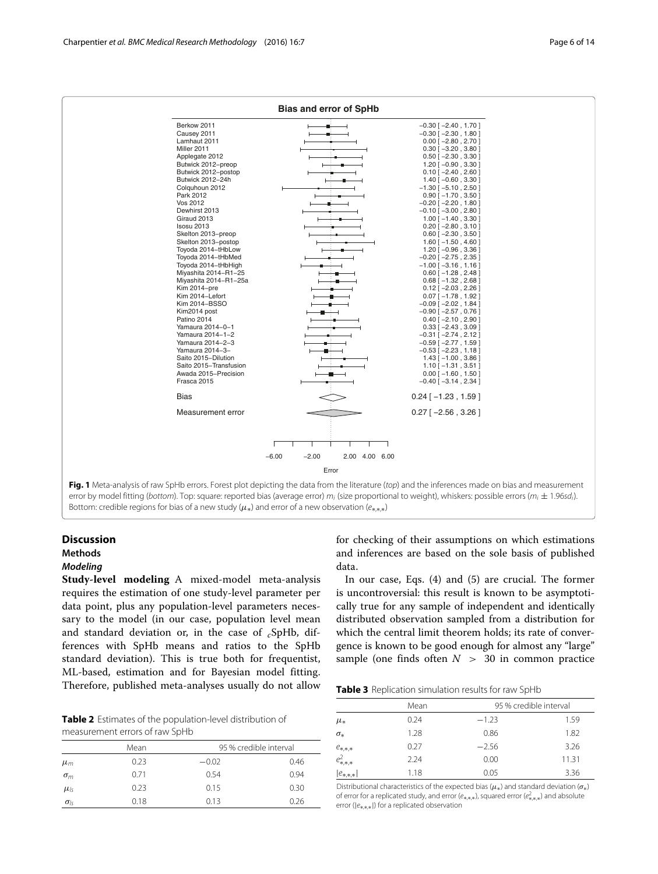

#### <span id="page-5-1"></span><span id="page-5-0"></span>**Discussion**

#### **Methods**

### *Modeling*

**Study-level modeling** A mixed-model meta-analysis requires the estimation of one study-level parameter per data point, plus any population-level parameters necessary to the model (in our case, population level mean and standard deviation or, in the case of *<sup>c</sup>*SpHb, differences with SpHb means and ratios to the SpHb standard deviation). This is true both for frequentist, ML-based, estimation and for Bayesian model fitting. Therefore, published meta-analyses usually do not allow

<span id="page-5-2"></span>**Table 2** Estimates of the population-level distribution of measurement errors of raw SpHb

|                   | Mean | 95 % credible interval |      |  |
|-------------------|------|------------------------|------|--|
| $\mu_m$           | 0.23 | $-0.02$                | 0.46 |  |
| $\sigma_m$        | 0.71 | 0.54                   | 0.94 |  |
| $\mu_{\rm k}$     | 0.23 | 0.15                   | 0.30 |  |
| $\sigma_{\rm ls}$ | 0.18 | 0.13                   | 0.26 |  |

for checking of their assumptions on which estimations and inferences are based on the sole basis of published data.

In our case, Eqs. [\(4\)](#page-2-4) and [\(5\)](#page-2-5) are crucial. The former is uncontroversial: this result is known to be asymptotically true for any sample of independent and identically distributed observation sampled from a distribution for which the central limit theorem holds; its rate of convergence is known to be good enough for almost any "large" sample (one finds often  $N > 30$  in common practice

<span id="page-5-3"></span>

|  | <b>Table 3</b> Replication simulation results for raw SpHb |  |  |  |
|--|------------------------------------------------------------|--|--|--|
|--|------------------------------------------------------------|--|--|--|

|                           | Mean |         | 95 % credible interval |
|---------------------------|------|---------|------------------------|
| $\mu_*$                   | 0.24 | $-1.23$ | 1.59                   |
| $\sigma_*$                | 1.28 | 0.86    | 1.82                   |
|                           | 0.27 | $-2.56$ | 3.26                   |
| $e_{*,*,*}$ $e_{*,*,*}^2$ | 2.24 | 0.00    | 11.31                  |
| $ e_{*,*,*} $             | 1.18 | 0.05    | 3.36                   |

Distributional characteristics of the expected bias ( $\mu_*$ ) and standard deviation ( $\sigma_*$ ) of error for a replicated study, and error  $(e_{*,*,*})$ , squared error  $(e_{*,*,*}^2)$  and absolute error ( $|e_{***}|$ ) for a replicated observation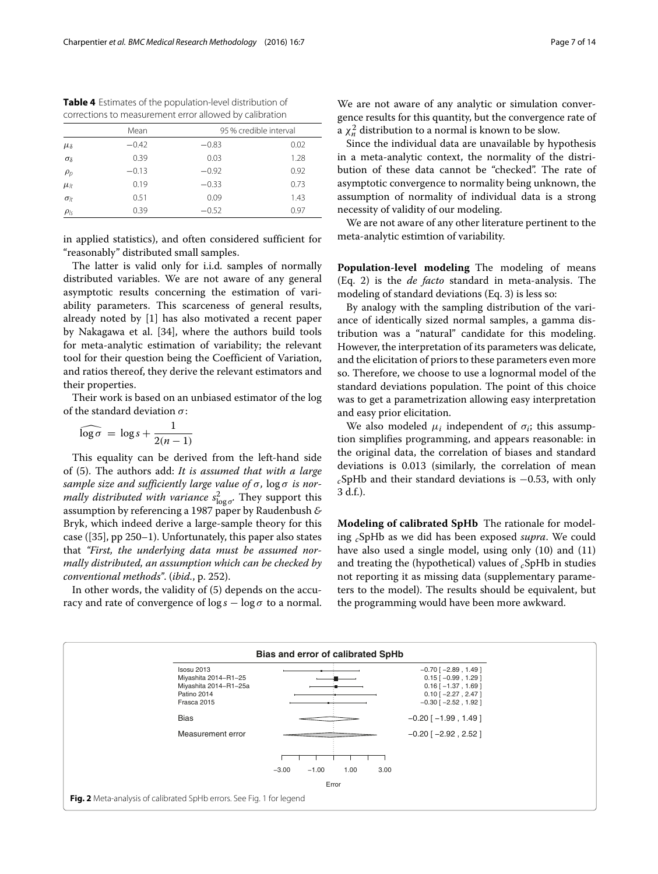<span id="page-6-0"></span>**Table 4** Estimates of the population-level distribution of corrections to measurement error allowed by calibration

|                        | Mean    | 95 % credible interval |      |  |  |
|------------------------|---------|------------------------|------|--|--|
| $\mu_{\delta}$         | $-0.42$ | $-0.83$                | 0.02 |  |  |
| $\sigma_{\delta}$      | 0.39    | 0.03                   | 1.28 |  |  |
| $\rho_p$               | $-0.13$ | $-0.92$                | 0.92 |  |  |
| $\mu$ <sub>lt</sub>    | 0.19    | $-0.33$                | 0.73 |  |  |
| $\sigma$ <sub>/t</sub> | 0.51    | 0.09                   | 1.43 |  |  |
| $\rho$ <sub>ls</sub>   | 0.39    | $-0.52$                | 0.97 |  |  |

in applied statistics), and often considered sufficient for "reasonably" distributed small samples.

The latter is valid only for i.i.d. samples of normally distributed variables. We are not aware of any general asymptotic results concerning the estimation of variability parameters. This scarceness of general results, already noted by [\[1\]](#page-12-0) has also motivated a recent paper by Nakagawa et al. [\[34\]](#page-13-4), where the authors build tools for meta-analytic estimation of variability; the relevant tool for their question being the Coefficient of Variation, and ratios thereof, they derive the relevant estimators and their properties.

Their work is based on an unbiased estimator of the log of the standard deviation  $\sigma$ :<br>  $\widehat{\log \sigma} = \log s + \frac{1}{2}$ 

$$
\widehat{\log \sigma} = \log s + \frac{1}{2(n-1)}
$$

This equality can be derived from the left-hand side of [\(5\)](#page-2-5). The authors add: *It is assumed that with a large sample size and sufficiently large value of* σ*,* log σ *is normally distributed with variance s* $_{\log \sigma}^2$ . They support this assumption by referencing a 1987 paper by Raudenbush *&* Bryk, which indeed derive a large-sample theory for this case ([\[35\]](#page-13-5), pp 250–1). Unfortunately, this paper also states that *"First, the underlying data must be assumed normally distributed, an assumption which can be checked by conventional methods"*. (*ibid.*, p. 252).

In other words, the validity of [\(5\)](#page-2-5) depends on the accuracy and rate of convergence of  $\log s - \log \sigma$  to a normal. We are not aware of any analytic or simulation convergence results for this quantity, but the convergence rate of a  $\chi^2_n$  distribution to a normal is known to be slow.

Since the individual data are unavailable by hypothesis in a meta-analytic context, the normality of the distribution of these data cannot be "checked". The rate of asymptotic convergence to normality being unknown, the assumption of normality of individual data is a strong necessity of validity of our modeling.

We are not aware of any other literature pertinent to the meta-analytic estimtion of variability.

**Population-level modeling** The modeling of means (Eq. [2\)](#page-2-2) is the *de facto* standard in meta-analysis. The modeling of standard deviations (Eq. [3\)](#page-2-3) is less so:

By analogy with the sampling distribution of the variance of identically sized normal samples, a gamma distribution was a "natural" candidate for this modeling. However, the interpretation of its parameters was delicate, and the elicitation of priors to these parameters even more so. Therefore, we choose to use a lognormal model of the standard deviations population. The point of this choice was to get a parametrization allowing easy interpretation and easy prior elicitation.

We also modeled  $\mu_i$  independent of  $\sigma_i$ ; this assumption simplifies programming, and appears reasonable: in the original data, the correlation of biases and standard deviations is 0.013 (similarly, the correlation of mean *<sup>c</sup>*SpHb and their standard deviations is −0.53, with only 3 d.f.).

**Modeling of calibrated SpHb** The rationale for modeling *<sup>c</sup>*SpHb as we did has been exposed *supra*. We could have also used a single model, using only [\(10\)](#page-3-2) and [\(11\)](#page-3-3) and treating the (hypothetical) values of *<sup>c</sup>*SpHb in studies not reporting it as missing data (supplementary parameters to the model). The results should be equivalent, but the programming would have been more awkward.

<span id="page-6-1"></span>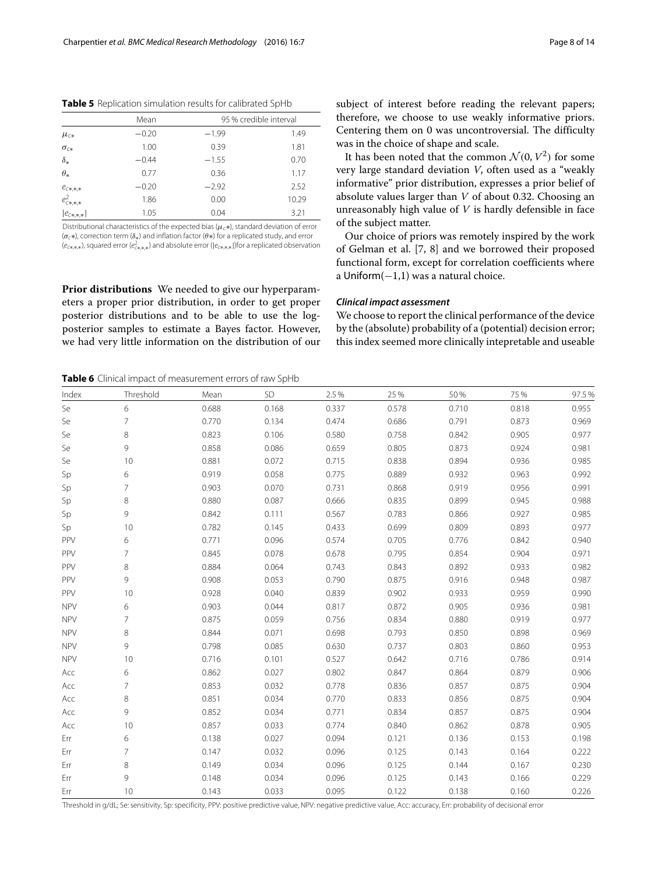<span id="page-7-0"></span>**Table 5** Replication simulation results for calibrated SpHb

|                       | Mean    | 95 % credible interval |       |  |
|-----------------------|---------|------------------------|-------|--|
| $\mu_{C\ast}$         | $-0.20$ | $-1.99$                | 1.49  |  |
| $\sigma_{C*}$         | 1.00    | 0.39                   | 1.81  |  |
| $\delta_*$            | $-0.44$ | $-1.55$                | 0.70  |  |
| $\theta_*$            | 0.77    | 0.36                   | 1.17  |  |
| $e_{c*,*,*}$          | $-0.20$ | $-2.92$                | 2.52  |  |
| $e_{c*,*,*}^2$        | 1.86    | 0.00                   | 10.29 |  |
| $ e_{\text{C*,*,*}} $ | 1.05    | 0.04                   | 3.21  |  |

Distributional characteristics of the expected bias ( $\mu_c$ ∗), standard deviation of error (σc∗), correction term (δ∗) and inflation factor (θ∗) for a replicated study, and error  $(e_{c*,*,*})$ , squared error ( $e_{c*,*,*}^2$ ) and absolute error ( $|e_{c*,*,*}|$ )for a replicated observation

**Prior distributions** We needed to give our hyperparameters a proper prior distribution, in order to get proper posterior distributions and to be able to use the logposterior samples to estimate a Bayes factor. However, we had very little information on the distribution of our subject of interest before reading the relevant papers; therefore, we choose to use weakly informative priors. Centering them on 0 was uncontroversial. The difficulty was in the choice of shape and scale.

It has been noted that the common  $\mathcal{N}(0, V^2)$  for some very large standard deviation *V*, often used as a "weakly informative" prior distribution, expresses a prior belief of absolute values larger than *V* of about 0.32. Choosing an unreasonably high value of *V* is hardly defensible in face of the subject matter.

Our choice of priors was remotely inspired by the work of Gelman et al. [\[7,](#page-12-6) [8\]](#page-12-7) and we borrowed their proposed functional form, except for correlation coefficients where a Uniform(−1,1) was a natural choice.

#### *Clinical impact assessment*

We choose to report the clinical performance of the device by the (absolute) probability of a (potential) decision error; this index seemed more clinically intepretable and useable

**Table 6** Clinical impact of measurement errors of raw SpHb

<span id="page-7-1"></span>

| Index      | Threshold      | Mean  | <b>SD</b> | 2.5%  | 25%   | 50%   | 75%   | 97.5% |
|------------|----------------|-------|-----------|-------|-------|-------|-------|-------|
| Se         | 6              | 0.688 | 0.168     | 0.337 | 0.578 | 0.710 | 0.818 | 0.955 |
| Se         | $\overline{7}$ | 0.770 | 0.134     | 0.474 | 0.686 | 0.791 | 0.873 | 0.969 |
| Se         | 8              | 0.823 | 0.106     | 0.580 | 0.758 | 0.842 | 0.905 | 0.977 |
| Se         | 9              | 0.858 | 0.086     | 0.659 | 0.805 | 0.873 | 0.924 | 0.981 |
| Se         | 10             | 0.881 | 0.072     | 0.715 | 0.838 | 0.894 | 0.936 | 0.985 |
| Sp         | 6              | 0.919 | 0.058     | 0.775 | 0.889 | 0.932 | 0.963 | 0.992 |
| Sp         | 7              | 0.903 | 0.070     | 0.731 | 0.868 | 0.919 | 0.956 | 0.991 |
| Sp         | 8              | 0.880 | 0.087     | 0.666 | 0.835 | 0.899 | 0.945 | 0.988 |
| Sp         | 9              | 0.842 | 0.111     | 0.567 | 0.783 | 0.866 | 0.927 | 0.985 |
| Sp         | 10             | 0.782 | 0.145     | 0.433 | 0.699 | 0.809 | 0.893 | 0.977 |
| PPV        | 6              | 0.771 | 0.096     | 0.574 | 0.705 | 0.776 | 0.842 | 0.940 |
| PPV        | $\overline{7}$ | 0.845 | 0.078     | 0.678 | 0.795 | 0.854 | 0.904 | 0.971 |
| PPV        | 8              | 0.884 | 0.064     | 0.743 | 0.843 | 0.892 | 0.933 | 0.982 |
| PPV        | 9              | 0.908 | 0.053     | 0.790 | 0.875 | 0.916 | 0.948 | 0.987 |
| PPV        | 10             | 0.928 | 0.040     | 0.839 | 0.902 | 0.933 | 0.959 | 0.990 |
| <b>NPV</b> | 6              | 0.903 | 0.044     | 0.817 | 0.872 | 0.905 | 0.936 | 0.981 |
| <b>NPV</b> | $\overline{7}$ | 0.875 | 0.059     | 0.756 | 0.834 | 0.880 | 0.919 | 0.977 |
| <b>NPV</b> | 8              | 0.844 | 0.071     | 0.698 | 0.793 | 0.850 | 0.898 | 0.969 |
| <b>NPV</b> | 9              | 0.798 | 0.085     | 0.630 | 0.737 | 0.803 | 0.860 | 0.953 |
| <b>NPV</b> | 10             | 0.716 | 0.101     | 0.527 | 0.642 | 0.716 | 0.786 | 0.914 |
| Acc        | 6              | 0.862 | 0.027     | 0.802 | 0.847 | 0.864 | 0.879 | 0.906 |
| Acc        | $\overline{7}$ | 0.853 | 0.032     | 0.778 | 0.836 | 0.857 | 0.875 | 0.904 |
| Acc        | 8              | 0.851 | 0.034     | 0.770 | 0.833 | 0.856 | 0.875 | 0.904 |
| Acc        | 9              | 0.852 | 0.034     | 0.771 | 0.834 | 0.857 | 0.875 | 0.904 |
| Acc        | 10             | 0.857 | 0.033     | 0.774 | 0.840 | 0.862 | 0.878 | 0.905 |
| Err        | 6              | 0.138 | 0.027     | 0.094 | 0.121 | 0.136 | 0.153 | 0.198 |
| Err        | 7              | 0.147 | 0.032     | 0.096 | 0.125 | 0.143 | 0.164 | 0.222 |
| Err        | 8              | 0.149 | 0.034     | 0.096 | 0.125 | 0.144 | 0.167 | 0.230 |
| Err        | 9              | 0.148 | 0.034     | 0.096 | 0.125 | 0.143 | 0.166 | 0.229 |
| Err        | 10             | 0.143 | 0.033     | 0.095 | 0.122 | 0.138 | 0.160 | 0.226 |

Threshold in g/dL; Se: sensitivity, Sp: specificity, PPV: positive predictive value, NPV: negative predictive value, Acc: accuracy, Err: probability of decisional error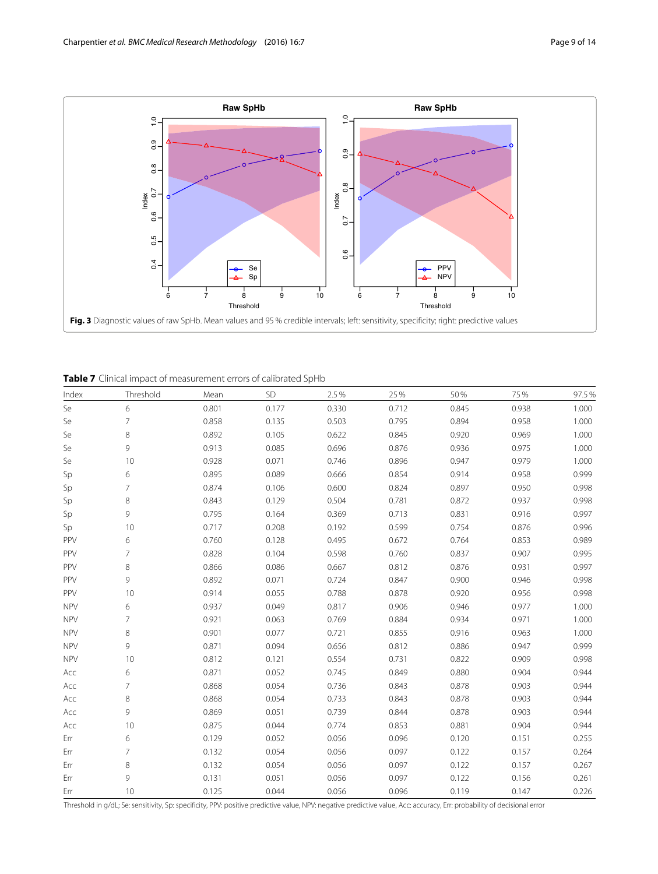

<span id="page-8-0"></span>**Table 7** Clinical impact of measurement errors of calibrated SpHb

<span id="page-8-1"></span>

| Index      | Threshold      | Mean  | SD    | 2.5%  | 25%   | 50%   | 75%   | 97.5% |
|------------|----------------|-------|-------|-------|-------|-------|-------|-------|
| Se         | 6              | 0.801 | 0.177 | 0.330 | 0.712 | 0.845 | 0.938 | 1.000 |
| Se         | 7              | 0.858 | 0.135 | 0.503 | 0.795 | 0.894 | 0.958 | 1.000 |
| Se         | 8              | 0.892 | 0.105 | 0.622 | 0.845 | 0.920 | 0.969 | 1.000 |
| Se         | 9              | 0.913 | 0.085 | 0.696 | 0.876 | 0.936 | 0.975 | 1.000 |
| Se         | 10             | 0.928 | 0.071 | 0.746 | 0.896 | 0.947 | 0.979 | 1.000 |
| Sp         | 6              | 0.895 | 0.089 | 0.666 | 0.854 | 0.914 | 0.958 | 0.999 |
| Sp         | $\overline{7}$ | 0.874 | 0.106 | 0.600 | 0.824 | 0.897 | 0.950 | 0.998 |
| Sp         | 8              | 0.843 | 0.129 | 0.504 | 0.781 | 0.872 | 0.937 | 0.998 |
| Sp         | 9              | 0.795 | 0.164 | 0.369 | 0.713 | 0.831 | 0.916 | 0.997 |
| Sp         | 10             | 0.717 | 0.208 | 0.192 | 0.599 | 0.754 | 0.876 | 0.996 |
| PPV        | 6              | 0.760 | 0.128 | 0.495 | 0.672 | 0.764 | 0.853 | 0.989 |
| PPV        | 7              | 0.828 | 0.104 | 0.598 | 0.760 | 0.837 | 0.907 | 0.995 |
| PPV        | 8              | 0.866 | 0.086 | 0.667 | 0.812 | 0.876 | 0.931 | 0.997 |
| PPV        | 9              | 0.892 | 0.071 | 0.724 | 0.847 | 0.900 | 0.946 | 0.998 |
| PPV        | 10             | 0.914 | 0.055 | 0.788 | 0.878 | 0.920 | 0.956 | 0.998 |
| <b>NPV</b> | 6              | 0.937 | 0.049 | 0.817 | 0.906 | 0.946 | 0.977 | 1.000 |
| <b>NPV</b> | $\overline{7}$ | 0.921 | 0.063 | 0.769 | 0.884 | 0.934 | 0.971 | 1.000 |
| <b>NPV</b> | 8              | 0.901 | 0.077 | 0.721 | 0.855 | 0.916 | 0.963 | 1.000 |
| <b>NPV</b> | 9              | 0.871 | 0.094 | 0.656 | 0.812 | 0.886 | 0.947 | 0.999 |
| <b>NPV</b> | 10             | 0.812 | 0.121 | 0.554 | 0.731 | 0.822 | 0.909 | 0.998 |
| Acc        | 6              | 0.871 | 0.052 | 0.745 | 0.849 | 0.880 | 0.904 | 0.944 |
| Acc        | $\overline{7}$ | 0.868 | 0.054 | 0.736 | 0.843 | 0.878 | 0.903 | 0.944 |
| Acc        | 8              | 0.868 | 0.054 | 0.733 | 0.843 | 0.878 | 0.903 | 0.944 |
| Acc        | 9              | 0.869 | 0.051 | 0.739 | 0.844 | 0.878 | 0.903 | 0.944 |
| Acc        | 10             | 0.875 | 0.044 | 0.774 | 0.853 | 0.881 | 0.904 | 0.944 |
| Err        | 6              | 0.129 | 0.052 | 0.056 | 0.096 | 0.120 | 0.151 | 0.255 |
| Err        | $\overline{7}$ | 0.132 | 0.054 | 0.056 | 0.097 | 0.122 | 0.157 | 0.264 |
| Err        | 8              | 0.132 | 0.054 | 0.056 | 0.097 | 0.122 | 0.157 | 0.267 |
| Err        | 9              | 0.131 | 0.051 | 0.056 | 0.097 | 0.122 | 0.156 | 0.261 |
| Err        | 10             | 0.125 | 0.044 | 0.056 | 0.096 | 0.119 | 0.147 | 0.226 |

Threshold in g/dL; Se: sensitivity, Sp: specificity, PPV: positive predictive value, NPV: negative predictive value, Acc: accuracy, Err: probability of decisional error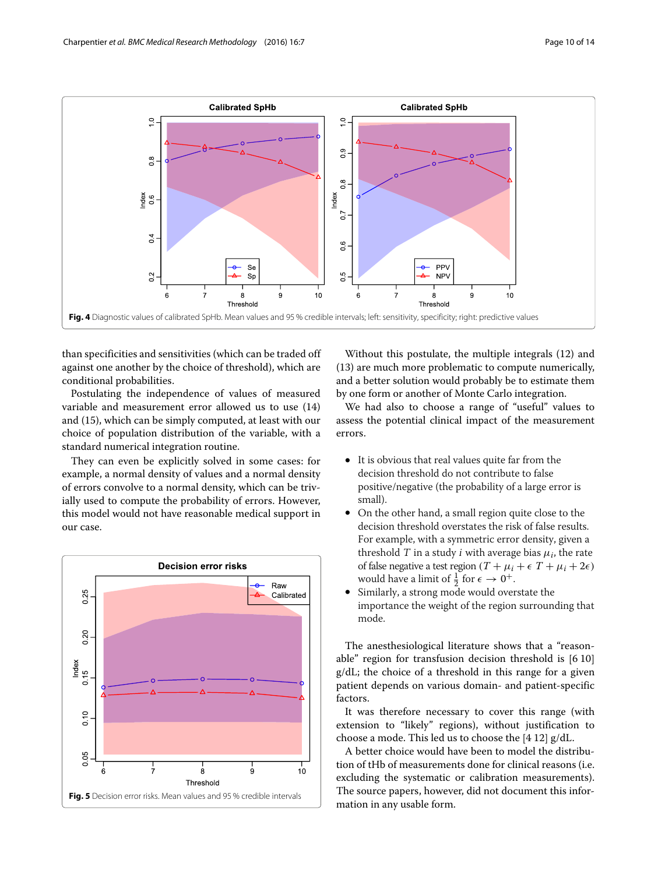

<span id="page-9-0"></span>than specificities and sensitivities (which can be traded off against one another by the choice of threshold), which are conditional probabilities.

Postulating the independence of values of measured variable and measurement error allowed us to use [\(14\)](#page-4-0) and [\(15\)](#page-4-1), which can be simply computed, at least with our choice of population distribution of the variable, with a standard numerical integration routine.

They can even be explicitly solved in some cases: for example, a normal density of values and a normal density of errors convolve to a normal density, which can be trivially used to compute the probability of errors. However, this model would not have reasonable medical support in our case.



Without this postulate, the multiple integrals [\(12\)](#page-4-2) and [\(13\)](#page-4-3) are much more problematic to compute numerically, and a better solution would probably be to estimate them by one form or another of Monte Carlo integration.

We had also to choose a range of "useful" values to assess the potential clinical impact of the measurement errors.

- It is obvious that real values quite far from the decision threshold do not contribute to false positive/negative (the probability of a large error is small).
- On the other hand, a small region quite close to the decision threshold overstates the risk of false results. For example, with a symmetric error density, given a threshold T in a study *i* with average bias  $\mu_i$ , the rate of false negative a test region  $(T + \mu_i + \epsilon T + \mu_i + 2\epsilon)$ would have a limit of  $\frac{1}{2}$  for  $\epsilon \to 0^+$ .
- Similarly, a strong mode would overstate the importance the weight of the region surrounding that mode.

The anesthesiological literature shows that a "reasonable" region for transfusion decision threshold is [6 10] g/dL; the choice of a threshold in this range for a given patient depends on various domain- and patient-specific factors.

It was therefore necessary to cover this range (with extension to "likely" regions), without justification to choose a mode. This led us to choose the [4 12] g/dL.

<span id="page-9-1"></span>A better choice would have been to model the distribution of tHb of measurements done for clinical reasons (i.e. excluding the systematic or calibration measurements). The source papers, however, did not document this information in any usable form.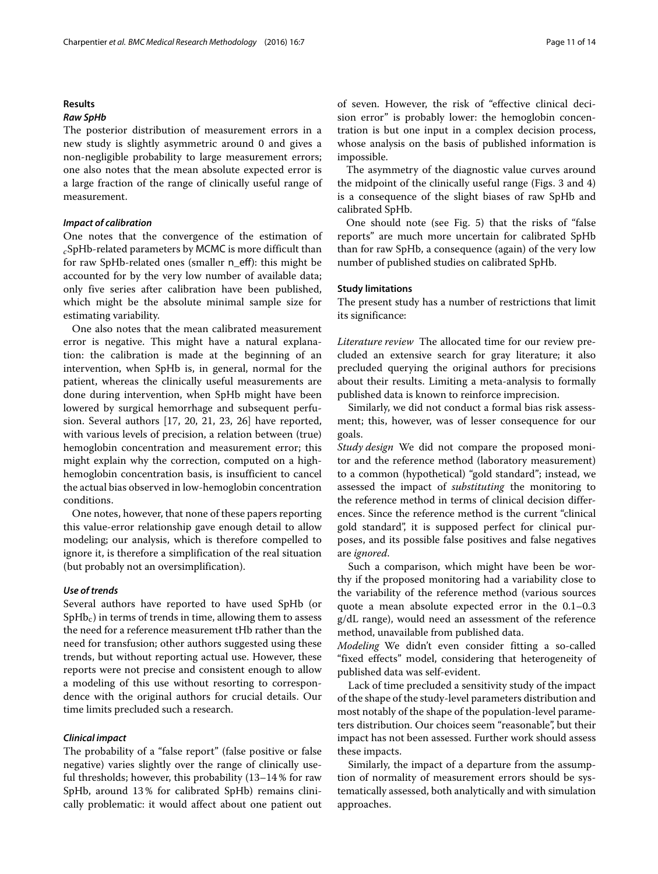#### **Results**

#### *Raw SpHb*

The posterior distribution of measurement errors in a new study is slightly asymmetric around 0 and gives a non-negligible probability to large measurement errors; one also notes that the mean absolute expected error is a large fraction of the range of clinically useful range of measurement.

# *Impact of calibration*

One notes that the convergence of the estimation of *<sup>c</sup>*SpHb-related parameters by MCMC is more difficult than for raw SpHb-related ones (smaller n\_eff): this might be accounted for by the very low number of available data; only five series after calibration have been published, which might be the absolute minimal sample size for estimating variability.

One also notes that the mean calibrated measurement error is negative. This might have a natural explanation: the calibration is made at the beginning of an intervention, when SpHb is, in general, normal for the patient, whereas the clinically useful measurements are done during intervention, when SpHb might have been lowered by surgical hemorrhage and subsequent perfusion. Several authors [\[17,](#page-12-13) [20,](#page-12-14) [21,](#page-12-15) [23,](#page-12-16) [26\]](#page-13-6) have reported, with various levels of precision, a relation between (true) hemoglobin concentration and measurement error; this might explain why the correction, computed on a highhemoglobin concentration basis, is insufficient to cancel the actual bias observed in low-hemoglobin concentration conditions.

One notes, however, that none of these papers reporting this value-error relationship gave enough detail to allow modeling; our analysis, which is therefore compelled to ignore it, is therefore a simplification of the real situation (but probably not an oversimplification).

#### *Use of trends*

Several authors have reported to have used SpHb (or  $SpHb<sub>c</sub>$ ) in terms of trends in time, allowing them to assess the need for a reference measurement tHb rather than the need for transfusion; other authors suggested using these trends, but without reporting actual use. However, these reports were not precise and consistent enough to allow a modeling of this use without resorting to correspondence with the original authors for crucial details. Our time limits precluded such a research.

#### *Clinical impact*

The probability of a "false report" (false positive or false negative) varies slightly over the range of clinically useful thresholds; however, this probability (13–14 % for raw SpHb, around 13 % for calibrated SpHb) remains clinically problematic: it would affect about one patient out of seven. However, the risk of "effective clinical decision error" is probably lower: the hemoglobin concentration is but one input in a complex decision process, whose analysis on the basis of published information is impossible.

The asymmetry of the diagnostic value curves around the midpoint of the clinically useful range (Figs. [3](#page-8-0) and [4\)](#page-9-0) is a consequence of the slight biases of raw SpHb and calibrated SpHb.

One should note (see Fig. [5\)](#page-9-1) that the risks of "false reports" are much more uncertain for calibrated SpHb than for raw SpHb, a consequence (again) of the very low number of published studies on calibrated SpHb.

# **Study limitations**

The present study has a number of restrictions that limit its significance:

*Literature review* The allocated time for our review precluded an extensive search for gray literature; it also precluded querying the original authors for precisions about their results. Limiting a meta-analysis to formally published data is known to reinforce imprecision.

Similarly, we did not conduct a formal bias risk assessment; this, however, was of lesser consequence for our goals.

*Study design* We did not compare the proposed monitor and the reference method (laboratory measurement) to a common (hypothetical) "gold standard"; instead, we assessed the impact of *substituting* the monitoring to the reference method in terms of clinical decision differences. Since the reference method is the current "clinical gold standard", it is supposed perfect for clinical purposes, and its possible false positives and false negatives are *ignored*.

Such a comparison, which might have been be worthy if the proposed monitoring had a variability close to the variability of the reference method (various sources quote a mean absolute expected error in the 0.1–0.3 g/dL range), would need an assessment of the reference method, unavailable from published data.

*Modeling* We didn't even consider fitting a so-called "fixed effects" model, considering that heterogeneity of published data was self-evident.

Lack of time precluded a sensitivity study of the impact of the shape of the study-level parameters distribution and most notably of the shape of the population-level parameters distribution. Our choices seem "reasonable", but their impact has not been assessed. Further work should assess these impacts.

Similarly, the impact of a departure from the assumption of normality of measurement errors should be systematically assessed, both analytically and with simulation approaches.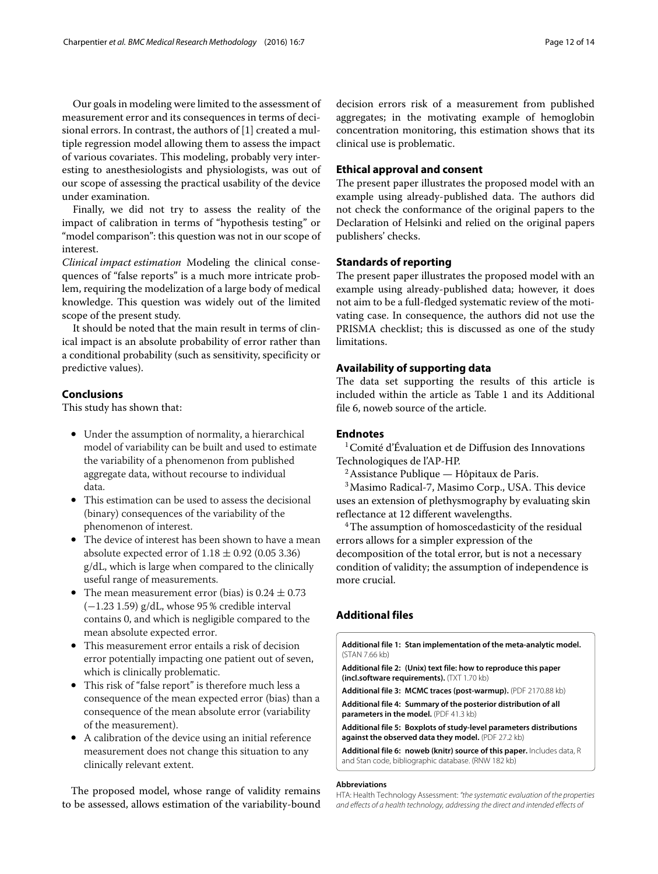Our goals in modeling were limited to the assessment of measurement error and its consequences in terms of decisional errors. In contrast, the authors of [\[1\]](#page-12-0) created a multiple regression model allowing them to assess the impact of various covariates. This modeling, probably very interesting to anesthesiologists and physiologists, was out of our scope of assessing the practical usability of the device under examination.

Finally, we did not try to assess the reality of the impact of calibration in terms of "hypothesis testing" or "model comparison": this question was not in our scope of interest.

*Clinical impact estimation* Modeling the clinical consequences of "false reports" is a much more intricate problem, requiring the modelization of a large body of medical knowledge. This question was widely out of the limited scope of the present study.

It should be noted that the main result in terms of clinical impact is an absolute probability of error rather than a conditional probability (such as sensitivity, specificity or predictive values).

## **Conclusions**

This study has shown that:

- Under the assumption of normality, a hierarchical model of variability can be built and used to estimate the variability of a phenomenon from published aggregate data, without recourse to individual data.
- This estimation can be used to assess the decisional (binary) consequences of the variability of the phenomenon of interest.
- The device of interest has been shown to have a mean absolute expected error of  $1.18 \pm 0.92$  (0.05 3.36) g/dL, which is large when compared to the clinically useful range of measurements.
- The mean measurement error (bias) is  $0.24 \pm 0.73$ (−1.23 1.59) g/dL, whose 95 % credible interval contains 0, and which is negligible compared to the mean absolute expected error.
- This measurement error entails a risk of decision error potentially impacting one patient out of seven, which is clinically problematic.
- This risk of "false report" is therefore much less a consequence of the mean expected error (bias) than a consequence of the mean absolute error (variability of the measurement).
- A calibration of the device using an initial reference measurement does not change this situation to any clinically relevant extent.

The proposed model, whose range of validity remains to be assessed, allows estimation of the variability-bound decision errors risk of a measurement from published aggregates; in the motivating example of hemoglobin concentration monitoring, this estimation shows that its clinical use is problematic.

# **Ethical approval and consent**

The present paper illustrates the proposed model with an example using already-published data. The authors did not check the conformance of the original papers to the Declaration of Helsinki and relied on the original papers publishers' checks.

# **Standards of reporting**

The present paper illustrates the proposed model with an example using already-published data; however, it does not aim to be a full-fledged systematic review of the motivating case. In consequence, the authors did not use the PRISMA checklist; this is discussed as one of the study limitations.

# **Availability of supporting data**

The data set supporting the results of this article is included within the article as Table [1](#page-2-0) and its Additional file [6,](#page-11-5) noweb source of the article.

# **Endnotes**

<sup>1</sup> Comité d'Évaluation et de Diffusion des Innovations Technologiques de l'AP-HP.

2Assistance Publique — Hôpitaux de Paris.

3Masimo Radical-7, Masimo Corp., USA. This device uses an extension of plethysmography by evaluating skin reflectance at 12 different wavelengths.

<sup>4</sup>The assumption of homoscedasticity of the residual errors allows for a simpler expression of the decomposition of the total error, but is not a necessary condition of validity; the assumption of independence is more crucial.

# **Additional files**

<span id="page-11-0"></span>**[Additional file 1:](http://dx.doi.org/10.1186/s12874-016-0107-5) Stan implementation of the meta-analytic model.** (STAN 7.66 kb)

<span id="page-11-1"></span>**[Additional file 2:](http://dx.doi.org/10.1186/s12874-016-0107-5) (Unix) text file: how to reproduce this paper (incl.software requirements).** (TXT 1.70 kb)

<span id="page-11-2"></span>**[Additional file 3:](http://dx.doi.org/10.1186/s12874-016-0107-5) MCMC traces (post-warmup).** (PDF 2170.88 kb)

<span id="page-11-3"></span>**[Additional file 4:](http://dx.doi.org/10.1186/s12874-016-0107-5) Summary of the posterior distribution of all parameters in the model.** (PDF 41.3 kb)

<span id="page-11-4"></span>**[Additional file 5:](http://dx.doi.org/10.1186/s12874-016-0107-5) Boxplots of study-level parameters distributions against the observed data they model.** (PDF 27.2 kb)

<span id="page-11-5"></span>**[Additional file 6:](http://dx.doi.org/10.1186/s12874-016-0107-5) noweb (knitr) source of this paper.** Includes data, R and Stan code, bibliographic database. (RNW 182 kb)

#### **Abbreviations**

HTA: Health Technology Assessment: "the systematic evaluation of the properties and effects of a health technology, addressing the direct and intended effects of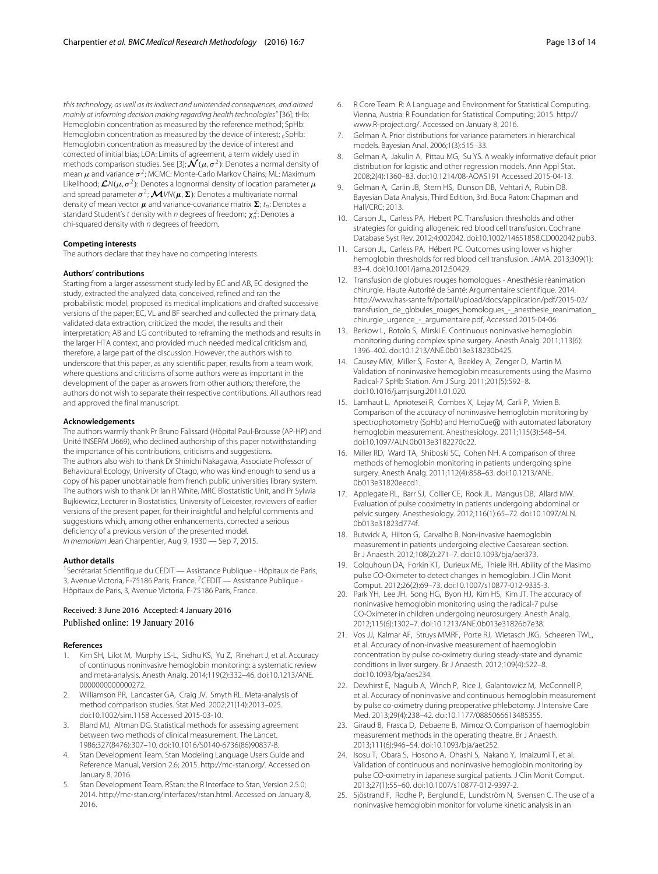this technology, as well as its indirect and unintended consequences, and aimed mainly at informing decision making regarding health technologies" [\[36\]](#page-13-7); tHb: Hemoglobin concentration as measured by the reference method; SpHb: Hemoglobin concentration as measured by the device of interest;  $_c$ SpHb: Hemoglobin concentration as measured by the device of interest and corrected of initial bias; LOA: Limits of agreement, a term widely used in methods comparison studies. See [\[3\]](#page-12-2);  $\mathcal{N}(\mu, \sigma^2)$ : Denotes a normal density of mean  $\mu$  and variance  $\sigma^2$ ; MCMC: Monte-Carlo Markov Chains; ML: Maximum Likelihood;  $\mathcal{L}N(\mu, \sigma^2)$ : Denotes a lognormal density of location parameter  $\mu$ and spread parameter  $\sigma^2$ ;  $\mathcal{M}$ *VN*( $\mu$ ,  $\Sigma$ ): Denotes a multivariate normal density of mean vector **μ** and variance-covariance matrix  $\Sigma$ ; t<sub>n</sub>: Denotes a standard Student's t density with n degrees of freedom;  $\chi^2_n$ : Denotes a chi-squared density with  $n$  degrees of freedom.

#### **Competing interests**

The authors declare that they have no competing interests.

#### **Authors' contributions**

Starting from a larger assessment study led by EC and AB, EC designed the study, extracted the analyzed data, conceived, refined and ran the probabilistic model, proposed its medical implications and drafted successive versions of the paper; EC, VL and BF searched and collected the primary data, validated data extraction, criticized the model, the results and their interpretation; AB and LG contributed to reframing the methods and results in the larger HTA context, and provided much needed medical criticism and, therefore, a large part of the discussion. However, the authors wish to underscore that this paper, as any scientific paper, results from a team work, where questions and criticisms of some authors were as important in the development of the paper as answers from other authors; therefore, the authors do not wish to separate their respective contributions. All authors read and approved the final manuscript.

#### **Acknowledgements**

The authors warmly thank Pr Bruno Falissard (Hôpital Paul-Brousse (AP-HP) and Unité INSERM U669), who declined authorship of this paper notwithstanding the importance of his contributions, criticisms and suggestions. The authors also wish to thank Dr Shinichi Nakagawa, Associate Professor of Behavioural Ecology, University of Otago, who was kind enough to send us a copy of his paper unobtainable from french public universities library system. The authors wish to thank Dr Ian R White, MRC Biostatistic Unit, and Pr Sylwia Bujkiewicz, Lecturer in Biostatistics, University of Leicester, reviewers of earlier versions of the present paper, for their insightful and helpful comments and suggestions which, among other enhancements, corrected a serious deficiency of a previous version of the presented model. In memoriam Jean Charpentier, Aug 9, 1930 — Sep 7, 2015.

#### **Author details**

<sup>1</sup> Secrétariat Scientifique du CEDIT — Assistance Publique - Hôpitaux de Paris, 3, Avenue Victoria, F-75186 Paris, France. 2CEDIT — Assistance Publique - Hôpitaux de Paris, 3, Avenue Victoria, F-75186 Paris, France.

### Received: 3 June 2016 Accepted: 4 January 2016 Published online: 19 January 2016

#### **References**

- <span id="page-12-0"></span>1. Kim SH, Lilot M, Murphy LS-L, Sidhu KS, Yu Z, Rinehart J, et al. Accuracy of continuous noninvasive hemoglobin monitoring: a systematic review and meta-analysis. Anesth Analg. 2014;119(2):332–46. doi[:10.1213/ANE.](http://dx.doi.org/10.1213/ANE.0000000000000272) [0000000000000272.](http://dx.doi.org/10.1213/ANE.0000000000000272)
- <span id="page-12-1"></span>2. Williamson PR, Lancaster GA, Craig JV, Smyth RL. Meta-analysis of method comparison studies. Stat Med. 2002;21(14):2013–025. doi[:10.1002/sim.1158](http://dx.doi.org/10.1002/sim.1158) Accessed 2015-03-10.
- <span id="page-12-2"></span>3. Bland MJ, Altman DG. Statistical methods for assessing agreement between two methods of clinical measurement. The Lancet. 1986;327(8476):307–10. doi[:10.1016/S0140-6736\(86\)90837-8.](http://dx.doi.org/10.1016/S0140-6736(86)90837-8)
- <span id="page-12-3"></span>4. Stan Development Team. Stan Modeling Language Users Guide and Reference Manual, Version 2.6; 2015. [http://mc-stan.org/.](http://mc-stan.org/) Accessed on January 8, 2016.
- <span id="page-12-4"></span>5. Stan Development Team. RStan: the R Interface to Stan, Version 2.5.0; 2014. [http://mc-stan.org/interfaces/rstan.html.](http://mc-stan.org/interfaces/rstan.html) Accessed on January 8, 2016.
- <span id="page-12-5"></span>6. R Core Team. R: A Language and Environment for Statistical Computing. Vienna, Austria: R Foundation for Statistical Computing; 2015. [http://](http://www.R-project.org/) [www.R-project.org/.](http://www.R-project.org/) Accessed on January 8, 2016.
- <span id="page-12-6"></span>7. Gelman A. Prior distributions for variance parameters in hierarchical models. Bayesian Anal. 2006;1(3):515–33.
- <span id="page-12-7"></span>8. Gelman A, Jakulin A, Pittau MG, Su YS. A weakly informative default prior distribution for logistic and other regression models. Ann Appl Stat. 2008;2(4):1360–83. doi[:10.1214/08-AOAS191](http://dx.doi.org/10.1214/08-AOAS191) Accessed 2015-04-13.
- <span id="page-12-8"></span>9. Gelman A, Carlin JB, Stern HS, Dunson DB, Vehtari A, Rubin DB. Bayesian Data Analysis, Third Edition, 3rd. Boca Raton: Chapman and Hall/CRC; 2013.
- <span id="page-12-9"></span>10. Carson JL, Carless PA, Hebert PC. Transfusion thresholds and other strategies for guiding allogeneic red blood cell transfusion. Cochrane Database Syst Rev. 2012;4:002042. doi[:10.1002/14651858.CD002042.pub3.](http://dx.doi.org/10.1002/14651858.CD002042.pub3)
- 11. Carson JL, Carless PA, Hébert PC. Outcomes using lower vs higher hemoglobin thresholds for red blood cell transfusion. JAMA. 2013;309(1): 83–4. doi[:10.1001/jama.2012.50429.](http://dx.doi.org/10.1001/jama.2012.50429)
- <span id="page-12-10"></span>12. Transfusion de globules rouges homologues - Anesthésie réanimation chirurgie. Haute Autorité de Santé: Argumentaire scientifique. 2014. [http://www.has-sante.fr/portail/upload/docs/application/pdf/2015-02/](http://www.has-sante.fr/portail/upload/docs/application/pdf/2015-02/transfusion_de_globules_rouges_homologues_-_anesthesie_reanimation_chirurgie_urgence_-_argumentaire.pdf) [transfusion\\_de\\_globules\\_rouges\\_homologues\\_-\\_anesthesie\\_reanimation\\_](http://www.has-sante.fr/portail/upload/docs/application/pdf/2015-02/transfusion_de_globules_rouges_homologues_-_anesthesie_reanimation_chirurgie_urgence_-_argumentaire.pdf) [chirurgie\\_urgence\\_-\\_argumentaire.pdf,](http://www.has-sante.fr/portail/upload/docs/application/pdf/2015-02/transfusion_de_globules_rouges_homologues_-_anesthesie_reanimation_chirurgie_urgence_-_argumentaire.pdf) Accessed 2015-04-06.
- <span id="page-12-11"></span>13. Berkow L, Rotolo S, Mirski E. Continuous noninvasive hemoglobin monitoring during complex spine surgery. Anesth Analg. 2011;113(6): 1396–402. doi[:10.1213/ANE.0b013e318230b425.](http://dx.doi.org/10.1213/ANE.0b013e318230b425)
- 14. Causey MW, Miller S, Foster A, Beekley A, Zenger D, Martin M. Validation of noninvasive hemoglobin measurements using the Masimo Radical-7 SpHb Station. Am J Surg. 2011;201(5):592–8. doi[:10.1016/j.amjsurg.2011.01.020.](http://dx.doi.org/10.1016/j.amjsurg.2011.01.020)
- 15. Lamhaut L, Apriotesei R, Combes X, Lejay M, Carli P, Vivien B. Comparison of the accuracy of noninvasive hemoglobin monitoring by spectrophotometry (SpHb) and HemoCue® with automated laboratory hemoglobin measurement. Anesthesiology. 2011;115(3):548–54. doi[:10.1097/ALN.0b013e3182270c22.](http://dx.doi.org/10.1097/ALN.0b013e3182270c22)
- 16. Miller RD, Ward TA, Shiboski SC, Cohen NH. A comparison of three methods of hemoglobin monitoring in patients undergoing spine surgery. Anesth Analg. 2011;112(4):858–63. do[i:10.1213/ANE.](http://dx.doi.org/10.1213/ANE.0b013e31820eecd1) [0b013e31820eecd1.](http://dx.doi.org/10.1213/ANE.0b013e31820eecd1)
- <span id="page-12-13"></span>17. Applegate RL, Barr SJ, Collier CE, Rook JL, Mangus DB, Allard MW. Evaluation of pulse cooximetry in patients undergoing abdominal or pelvic surgery. Anesthesiology. 2012;116(1):65–72. doi[:10.1097/ALN.](http://dx.doi.org/10.1097/ALN.0b013e31823d774f) [0b013e31823d774f.](http://dx.doi.org/10.1097/ALN.0b013e31823d774f)
- 18. Butwick A, Hilton G, Carvalho B. Non-invasive haemoglobin measurement in patients undergoing elective Caesarean section. Br J Anaesth. 2012;108(2):271–7. doi[:10.1093/bja/aer373.](http://dx.doi.org/10.1093/bja/aer373)
- 19. Colquhoun DA, Forkin KT, Durieux ME, Thiele RH. Ability of the Masimo pulse CO-Oximeter to detect changes in hemoglobin. J Clin Monit Comput. 2012;26(2):69–73. do[i:10.1007/s10877-012-9335-3.](http://dx.doi.org/10.1007/s10877-012-9335-3)
- <span id="page-12-14"></span>20. Park YH, Lee JH, Song HG, Byon HJ, Kim HS, Kim JT. The accuracy of noninvasive hemoglobin monitoring using the radical-7 pulse CO-Oximeter in children undergoing neurosurgery. Anesth Analg. 2012;115(6):1302–7. doi[:10.1213/ANE.0b013e31826b7e38.](http://dx.doi.org/10.1213/ANE.0b013e31826b7e38)
- <span id="page-12-15"></span>21. Vos JJ, Kalmar AF, Struys MMRF, Porte RJ, Wietasch JKG, Scheeren TWL, et al. Accuracy of non-invasive measurement of haemoglobin concentration by pulse co-oximetry during steady-state and dynamic conditions in liver surgery. Br J Anaesth. 2012;109(4):522–8. doi[:10.1093/bja/aes234.](http://dx.doi.org/10.1093/bja/aes234)
- 22. Dewhirst E, Naguib A, Winch P, Rice J, Galantowicz M, McConnell P, et al. Accuracy of noninvasive and continuous hemoglobin measurement by pulse co-oximetry during preoperative phlebotomy. J Intensive Care Med. 2013;29(4):238–42. doi[:10.1177/0885066613485355.](http://dx.doi.org/10.1177/0885066613485355)
- <span id="page-12-16"></span>23. Giraud B, Frasca D, Debaene B, Mimoz O. Comparison of haemoglobin measurement methods in the operating theatre. Br J Anaesth. 2013;111(6):946–54. doi[:10.1093/bja/aet252.](http://dx.doi.org/10.1093/bja/aet252)
- <span id="page-12-12"></span>24. Isosu T, Obara S, Hosono A, Ohashi S, Nakano Y, Imaizumi T, et al. Validation of continuous and noninvasive hemoglobin monitoring by pulse CO-oximetry in Japanese surgical patients. J Clin Monit Comput. 2013;27(1):55–60. doi[:10.1007/s10877-012-9397-2.](http://dx.doi.org/10.1007/s10877-012-9397-2)
- 25. Sjöstrand F, Rodhe P, Berglund E, Lundström N, Svensen C. The use of a noninvasive hemoglobin monitor for volume kinetic analysis in an